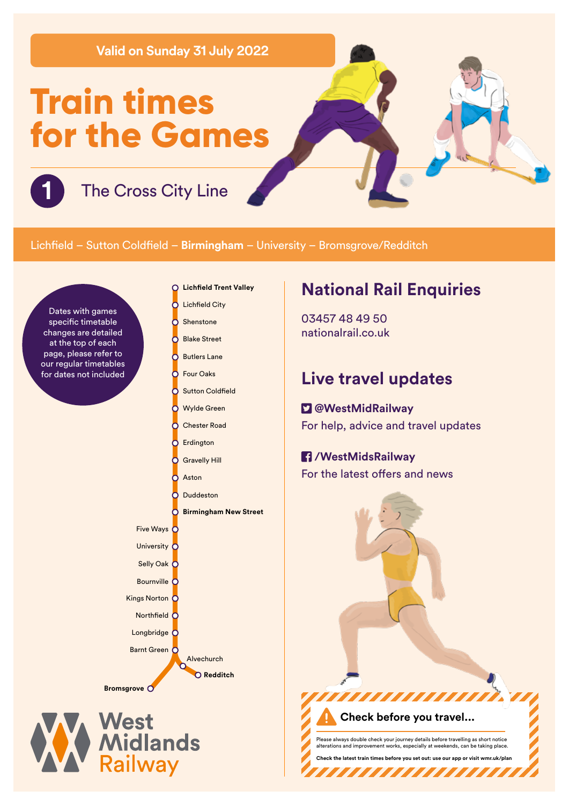**Valid on Sunday 31 July 2022**

# **Train times for the Games**

**1** The Cross City Line

### Lichfield – Sutton Coldfield – **Birmingham** – University – Bromsgrove/Redditch

Dates with games specific timetable changes are detailed at the top of each page, please refer to our regular timetables for dates not included

- **Lichfield Trent Valley**  $\Omega$
- **Lichfield City** C
- Shenstone h
- Blake Street h C Butlers Lane
- Four Oaks റ
- ō **Sutton Coldfield** 
	- Wylde Green
	- Chester Road
- Ō Erdington

Č

Ы Č

- Gravelly Hill
- Aston

Five Ways C University C Selly Oak C Bournville C Kings Norton C Northfield  $\overline{C}$ Longbridge<sup>C</sup> Barnt Green O

**Bromsgrove**

West<br>Midlands<br>Railway

Duddeston

Alvechurch **Redditch**

**Birmingham New Street**

# **National Rail Enquiries**

03457 48 49 50 nationalrail.co.uk

## **Live travel updates**

## **@WestMidRailway**

For help, advice and travel updates

### **/WestMidsRailway**

For the latest offers and news

**Check before you travel...** Please always double check your journey details before travelling as short notice alterations are chosen works.<br>In providing works, can be taking place.

**Check the latest train times before you set out: use our app or visit wmr.uk/plan** 

**TITI TITI TI** 

,,,,,,,,,,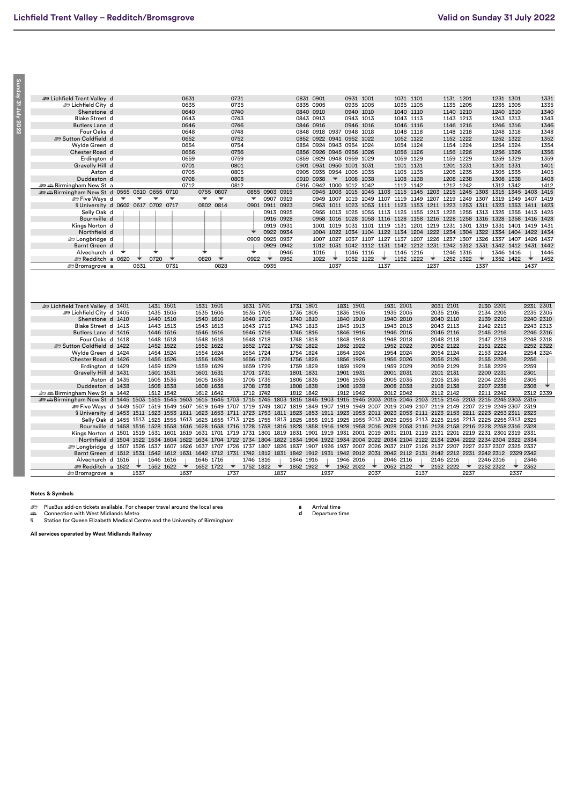Sunday 31 July 2022 **Sunday 31 July 2022**

| E Lichfield Trent Valley d                                                                                                                                    |   |            |           |                          | 0631 |           |                          | 0731 |                          |      |                |           | 0831 0901 |                          |           | 0931 1001 |                                                                            |           | 1031 1101 |           |        | 1131 1201 |      |      | 1231 1301 |           |           | 1331 |
|---------------------------------------------------------------------------------------------------------------------------------------------------------------|---|------------|-----------|--------------------------|------|-----------|--------------------------|------|--------------------------|------|----------------|-----------|-----------|--------------------------|-----------|-----------|----------------------------------------------------------------------------|-----------|-----------|-----------|--------|-----------|------|------|-----------|-----------|-----------|------|
| ات Lichfield City d                                                                                                                                           |   |            |           |                          | 0635 |           |                          | 0735 |                          |      |                |           | 0835 0905 |                          |           | 0935 1005 |                                                                            |           | 1035 1105 |           |        | 1135 1205 |      |      | 1235 1305 |           |           | 1335 |
| Shenstone d                                                                                                                                                   |   |            |           |                          | 0640 |           |                          | 0740 |                          |      |                |           | 0840 0910 |                          |           | 0940 1010 |                                                                            |           | 1040 1110 |           |        | 1140 1210 |      |      | 1240 1310 |           |           | 1340 |
| <b>Blake Street d</b>                                                                                                                                         |   |            |           |                          | 0643 |           |                          | 0743 |                          |      |                |           | 0843 0913 |                          |           | 0943 1013 |                                                                            |           | 1043 1113 |           |        | 1143 1213 |      |      | 1243 1313 |           |           | 1343 |
| Butlers Lane d                                                                                                                                                |   |            |           |                          | 0646 |           |                          | 0746 |                          |      |                |           | 0846 0916 |                          |           | 0946 1016 |                                                                            |           | 1046 1116 |           |        | 1146 1216 |      |      | 1246 1316 |           |           | 1346 |
| Four Oaks d                                                                                                                                                   |   |            |           |                          | 0648 |           |                          | 0748 |                          |      |                |           |           | 0848 0918 0937 0948 1018 |           |           |                                                                            |           | 1048 1118 |           |        | 1148 1218 |      |      | 1248 1318 |           |           | 1348 |
| Sutton Coldfield d                                                                                                                                            |   |            |           |                          | 0652 |           |                          | 0752 |                          |      |                |           |           | 0852 0922 0941 0952 1022 |           |           |                                                                            |           | 1052 1122 |           |        | 1152 1222 |      |      |           | 1252 1322 |           | 1352 |
| Wylde Green d                                                                                                                                                 |   |            |           |                          | 0654 |           |                          | 0754 |                          |      |                |           |           | 0854 0924 0943 0954 1024 |           |           |                                                                            |           | 1054 1124 |           |        | 1154 1224 |      |      | 1254 1324 |           |           | 1354 |
| Chester Road d                                                                                                                                                |   |            |           |                          | 0656 |           |                          | 0756 |                          |      |                |           |           | 0856 0926 0945 0956 1026 |           |           |                                                                            |           | 1056 1126 |           |        | 1156 1226 |      |      | 1256 1326 |           |           | 1356 |
| Erdington d                                                                                                                                                   |   |            |           |                          | 0659 |           |                          | 0759 |                          |      |                |           |           | 0859 0929 0948 0959 1029 |           |           |                                                                            |           | 1059 1129 |           |        | 1159 1229 |      |      | 1259 1329 |           |           | 1359 |
| Gravelly Hill d                                                                                                                                               |   |            |           |                          | 0701 |           |                          | 0801 |                          |      |                |           |           | 0901 0931 0950 1001 1031 |           |           |                                                                            |           | 1101 1131 |           |        | 1201 1231 |      |      | 1301 1331 |           |           | 1401 |
| Aston d                                                                                                                                                       |   |            |           |                          | 0705 |           |                          | 0805 |                          |      |                |           |           | 0905 0935 0954 1005 1035 |           |           |                                                                            |           | 1105 1135 |           |        | 1205 1235 |      |      | 1305 1335 |           |           | 1405 |
| Duddeston d                                                                                                                                                   |   |            |           |                          | 0708 |           |                          | 0808 |                          |      |                |           | 0910 0938 | $\overline{\phantom{a}}$ | 1008      | 1038      |                                                                            |           | 1108 1138 |           |        | 1208 1238 |      |      | 1308 1338 |           |           | 1408 |
| ஊை # Birmingham New St a                                                                                                                                      |   |            |           |                          | 0712 |           |                          | 0812 |                          |      |                |           |           | 0916 0942 1000 1012 1042 |           |           |                                                                            |           | 1112 1142 |           |        | 1212 1242 |      |      | 1312 1342 |           |           | 1412 |
| <b>Example 10 St 30 Similar St 30 St 40 0555 0610 0655 0710</b>                                                                                               |   |            |           |                          |      |           | 0755 0807                |      |                          |      | 0855 0903 0915 |           |           |                          |           |           | 0945 1003 1015 1045 1103 1115 1145 1203 1215 1245 1303 1315 1345 1403 1415 |           |           |           |        |           |      |      |           |           |           |      |
| <b>Exercise</b> Ways d                                                                                                                                        | ▼ |            |           | $\overline{\phantom{a}}$ |      | ▼         | $\overline{\phantom{a}}$ |      | $\overline{\phantom{a}}$ |      | 0907 0919      |           |           | 0949 1007 1019           |           |           | 1049 1107 1119 1149 1207 1219 1249 1307 1319 1349                          |           |           |           |        |           |      |      |           |           | 1407 1419 |      |
| § University d 0602 0617 0702 0717                                                                                                                            |   |            |           |                          |      |           | 0802 0814                |      |                          |      | 0901 0911 0923 |           |           |                          |           |           | 0953 1011 1023 1053 1111 1123 1153 1211 1223 1253 1311 1323 1353 1411 1423 |           |           |           |        |           |      |      |           |           |           |      |
| Selly Oak d                                                                                                                                                   |   |            |           |                          |      |           |                          |      |                          |      | 0913 0925      |           |           |                          |           |           | 0955 1013 1025 1055 1113 1125 1155 1213 1225 1255 1313 1325 1355 1413 1425 |           |           |           |        |           |      |      |           |           |           |      |
| Bournville d                                                                                                                                                  |   |            |           |                          |      |           |                          |      |                          |      | 0916 0928      |           |           | 0958 1016 1028           |           |           | 1058 1116 1128 1158 1216 1228 1258 1316 1328 1358 1416 1428                |           |           |           |        |           |      |      |           |           |           |      |
| Kings Norton d                                                                                                                                                |   |            |           |                          |      |           |                          |      |                          |      | 0919 0931      |           |           |                          |           |           | 1001 1019 1031 1101 1119 1131 1201 1219 1231 1301 1319 1331 1401 1419 1431 |           |           |           |        |           |      |      |           |           |           |      |
| Northfield d                                                                                                                                                  |   |            |           |                          |      |           |                          |      |                          |      | 0922 0934      |           |           |                          |           |           | 1004 1022 1034 1104 1122 1134 1204 1222 1234 1304 1322 1334 1404 1422 1434 |           |           |           |        |           |      |      |           |           |           |      |
| <b>Et Longbridge</b> d                                                                                                                                        |   |            |           |                          |      |           |                          |      |                          |      | 0909 0925 0937 |           |           |                          |           |           | 1007 1027 1037 1107 1127 1137 1207 1226 1237 1307 1326 1337 1407 1426 1437 |           |           |           |        |           |      |      |           |           |           |      |
| Barnt Green d                                                                                                                                                 |   |            |           |                          |      |           |                          |      |                          |      | 0929 0942      |           |           |                          |           |           | 1012 1031 1042 1112 1131 1142 1212 1231 1242 1312 1331 1342 1412 1431 1442 |           |           |           |        |           |      |      |           |           |           |      |
| Alvechurch d                                                                                                                                                  |   |            |           |                          |      |           |                          |      |                          |      | 0946           |           | 1016      |                          |           | 1046 1116 |                                                                            |           | 1146 1216 |           |        | 1246 1316 |      |      | 1346 1416 |           |           | 1446 |
| <b>em Redditch a 0620</b>                                                                                                                                     |   | $\bigstar$ | 0720      | ◆                        |      | 0820      | ◆                        |      | 0922                     | ◆    | 0952           |           | 1022      | ▼                        |           | 1052 1122 | ▼                                                                          |           | 1152 1222 |           | $\;\;$ | 1252 1322 |      | ▼    |           | 1352 1422 | $\;\;$    | 1452 |
| <i><b><i></i></b> Bromsgrove a</i>                                                                                                                            |   | 0631       |           | 0731                     |      |           | 0828                     |      |                          | 0935 |                |           |           | 1037                     |           |           | 1137                                                                       |           |           |           | 1237   |           |      | 1337 |           |           | 1437      |      |
|                                                                                                                                                               |   |            |           |                          |      |           |                          |      |                          |      |                |           |           |                          |           |           |                                                                            |           |           |           |        |           |      |      |           |           |           |      |
|                                                                                                                                                               |   |            |           |                          |      |           |                          |      |                          |      |                |           |           |                          |           |           |                                                                            |           |           |           |        |           |      |      |           |           |           |      |
| E Lichfield Trent Valley d 1401                                                                                                                               |   |            | 1431 1501 |                          |      | 1531 1601 |                          |      | 1631 1701                |      |                | 1731 1801 |           |                          | 1831 1901 |           |                                                                            | 1931 2001 |           |           |        | 2031 2101 |      |      | 2130 2201 |           | 2231 2301 |      |
| E Lichfield City d 1405                                                                                                                                       |   |            | 1435 1505 |                          |      | 1535 1605 |                          |      | 1635 1705                |      |                | 1735 1805 |           |                          | 1835 1905 |           |                                                                            | 1935 2005 |           |           |        | 2035 2105 |      |      | 2134 2205 |           | 2235 2305 |      |
| Shenstone d 1410                                                                                                                                              |   |            | 1440 1510 |                          |      | 1540 1610 |                          |      | 1640 1710                |      |                | 1740 1810 |           |                          | 1840 1910 |           |                                                                            | 1940 2010 |           |           |        | 2040 2110 |      |      | 2139 2210 |           | 2240 2310 |      |
| Blake Street d 1413                                                                                                                                           |   |            | 1443 1513 |                          |      | 1543 1613 |                          |      | 1643 1713                |      |                | 1743 1813 |           |                          | 1843 1913 |           |                                                                            | 1943 2013 |           |           |        | 2043 2113 |      |      | 2142 2213 |           | 2243 2313 |      |
| Butlers Lane d 1416                                                                                                                                           |   |            | 1446 1516 |                          |      | 1546 1616 |                          |      | 1646 1716                |      |                | 1746 1816 |           |                          | 1846 1916 |           |                                                                            | 1946 2016 |           |           |        | 2046 2116 |      |      | 2145 2216 |           | 2246 2316 |      |
| Four Oaks d 1418                                                                                                                                              |   |            | 1448 1518 |                          |      | 1548 1618 |                          |      | 1648 1718                |      |                | 1748 1818 |           |                          | 1848 1918 |           |                                                                            | 1948 2018 |           |           |        | 2048 2118 |      |      | 2147 2218 |           | 2248 2318 |      |
| Sutton Coldfield d 1422                                                                                                                                       |   |            | 1452 1522 |                          |      | 1552 1622 |                          |      | 1652 1722                |      |                | 1752 1822 |           |                          | 1852 1922 |           |                                                                            | 1952 2022 |           |           |        | 2052 2122 |      |      | 2151 2222 |           | 2252 2322 |      |
| Wylde Green d 1424                                                                                                                                            |   |            | 1454 1524 |                          |      | 1554 1624 |                          |      | 1654 1724                |      |                | 1754 1824 |           |                          | 1854 1924 |           |                                                                            | 1954 2024 |           |           |        | 2054 2124 |      |      | 2153 2224 |           | 2254 2324 |      |
| Chester Road d 1426                                                                                                                                           |   |            | 1456 1526 |                          |      | 1556 1626 |                          |      | 1656 1726                |      |                | 1756 1826 |           |                          | 1856 1926 |           |                                                                            | 1956 2026 |           |           |        | 2056 2126 |      |      | 2155 2226 |           | 2256      |      |
| Erdington d 1429                                                                                                                                              |   |            | 1459 1529 |                          |      | 1559 1629 |                          |      | 1659 1729                |      |                | 1759 1829 |           |                          | 1859 1929 |           |                                                                            | 1959 2029 |           |           |        | 2059 2129 |      |      | 2158 2229 |           | 2259      |      |
| Gravelly Hill d 1431                                                                                                                                          |   |            | 1501 1531 |                          |      | 1601 1631 |                          |      | 1701 1731                |      |                | 1801 1831 |           |                          | 1901 1931 |           |                                                                            | 2001 2031 |           |           |        | 2101 2131 |      |      | 2200 2231 |           | 2301      |      |
| Aston d 1435                                                                                                                                                  |   |            | 1505 1535 |                          |      | 1605 1635 |                          |      | 1705 1735                |      |                | 1805 1835 |           |                          | 1905 1935 |           |                                                                            | 2005 2035 |           |           |        | 2105 2135 |      |      | 2204 2235 |           | 2305      |      |
| Duddeston d 1438                                                                                                                                              |   |            | 1508 1538 |                          |      | 1608 1638 |                          |      | 1708 1738                |      |                | 1808 1838 |           |                          | 1908 1938 |           |                                                                            | 2008 2038 |           |           |        | 2108 2138 |      |      | 2207 2238 |           | 2308      |      |
| Birmingham New Sta 1442⊕ ش                                                                                                                                    |   |            | 1512 1542 |                          |      | 1612 1642 |                          |      | 1712 1742                |      |                | 1812 1842 |           |                          | 1912 1942 |           |                                                                            | 2012 2042 |           |           |        | 2112 2142 |      |      | 2211 2242 |           | 2312 2339 |      |
| æææBirmingham New St d 1445 1503 1515 1545 1603 1615 1645 1703 1715 1745 1803 1815 1845 1903 1915 1945 2003 2015 2045 2103 2115 2145 2203 2215 2245 2303 2315 |   |            |           |                          |      |           |                          |      |                          |      |                |           |           |                          |           |           |                                                                            |           |           |           |        |           |      |      |           |           |           |      |
| £ Five Ways d 1449 1507 1519 1549 1607 1619 1649 1707 1719 1749 1807 1819 1849 1907 1919 1949 2007 2019 2049 2107 2119 2149 2207 2219 2249 2307 2319          |   |            |           |                          |      |           |                          |      |                          |      |                |           |           |                          |           |           |                                                                            |           |           |           |        |           |      |      |           |           |           |      |
| §University d 1453 1511 1523 1553 1611 1623 1653 1711 1723 1753 1811 1823 1853 1911 1923 1953 2011 2023 2053 2111 2123 2153 2211 2223 2253 2311 2323          |   |            |           |                          |      |           |                          |      |                          |      |                |           |           |                          |           |           |                                                                            |           |           |           |        |           |      |      |           |           |           |      |
| Selly Oak d 1455 1513 1525 1555 1613 1625 1655 1713 1725 1755 1813 1825 1855 1913 1925 1955 2013 2025 2055 2113 2125 2155 2213 2225 2255 2313 2325            |   |            |           |                          |      |           |                          |      |                          |      |                |           |           |                          |           |           |                                                                            |           |           |           |        |           |      |      |           |           |           |      |
| Bournville d 1458 1516 1528 1558 1616 1628 1658 1716 1728 1758 1816 1828 1858 1916 1928 1958 2016 2028 2058 2116 2128 2158 2216 2228 2258 2316 2328           |   |            |           |                          |      |           |                          |      |                          |      |                |           |           |                          |           |           |                                                                            |           |           |           |        |           |      |      |           |           |           |      |
| Kings Norton d 1501 1519 1531 1601 1619 1631 1701 1719 1731 1801 1819 1831 1901 1919 1931 2001 2019 2031 2101 2119 2131 2201 2219 2231 2301 2319 2331         |   |            |           |                          |      |           |                          |      |                          |      |                |           |           |                          |           |           |                                                                            |           |           |           |        |           |      |      |           |           |           |      |
| Northfield d 1504 1522 1534 1604 1622 1634 1704 1722 1734 1804 1822 1834 1904 1922 1934 2004 2022 2034 2104 2122 2134 2204 2222 2234 2304 2322 2334           |   |            |           |                          |      |           |                          |      |                          |      |                |           |           |                          |           |           |                                                                            |           |           |           |        |           |      |      |           |           |           |      |
| ælongbridge d 1507 1526 1537 1607 1626 1637 1707 1726 1737 1807 1826 1837 1907 1926 1937 2007 2026 2037 2107 2126 2137 2207 2227 2237 2307 2325 2337          |   |            |           |                          |      |           |                          |      |                          |      |                |           |           |                          |           |           |                                                                            |           |           |           |        |           |      |      |           |           |           |      |
| Barnt Green d 1512 1531 1542 1612 1631 1642 1712 1731 1742 1812 1831 1842 1912 1931 1942 2012 2031 2042 2112 2131 2142 2212 2231 2242 2312 2329 2342          |   |            |           |                          |      |           |                          |      |                          |      |                |           |           |                          |           |           |                                                                            |           |           |           |        |           |      |      |           |           |           |      |
| Alvechurch d 1516                                                                                                                                             |   |            | 1546 1616 |                          | ▼    | 1646 1716 |                          |      | 1746 1816                |      |                | 1846 1916 |           | ▼                        | 1946 2016 |           |                                                                            | 2046 2116 |           |           |        | 2146 2216 |      |      | 2246 2316 |           | 2346      |      |
| Redditch a 1522<br><i><b>≞</b></i> Bromsgrove a                                                                                                               |   | 1537       | 1552 1622 |                          | 1637 | 1652 1722 |                          | 1737 | 1752 1822                |      | ◆<br>1837      | 1852 1922 |           | 1937                     | 1952 2022 |           | 2037                                                                       | 2052 2122 |           | ◆<br>2137 |        | 2152 2222 | 2237 |      | 2252 2322 | 2337      | 2352      |      |

#### **Notes & Symbols**

لله PlusBus add-on tickets available. For cheaper travel around the local area<br>شهر Connection with West Midlands Metro<br>S Station for Queen Elizabeth Medical Centre and the University of Birmingham

**a** Arrival time **d** Departure time

**All services operated by West Midlands Railway**